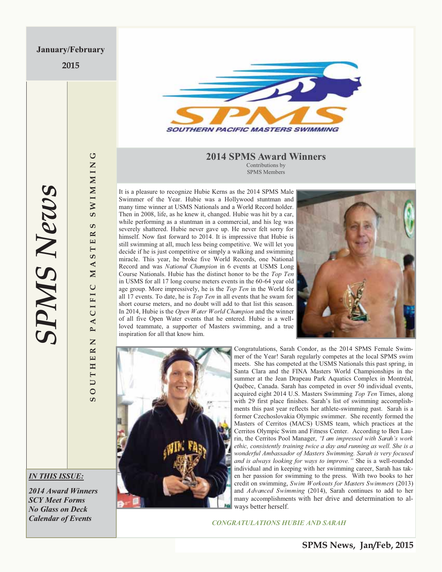**2015** 



#### **2014 SPMS Award Winners** Contributions by SPMS Members

It is a pleasure to recognize Hubie Kerns as the 2014 SPMS Male Swimmer of the Year. Hubie was a Hollywood stuntman and many time winner at USMS Nationals and a World Record holder. Then in 2008, life, as he knew it, changed. Hubie was hit by a car, while performing as a stuntman in a commercial, and his leg was severely shattered. Hubie never gave up. He never felt sorry for himself. Now fast forward to 2014. It is impressive that Hubie is still swimming at all, much less being competitive. We will let you decide if he is just competitive or simply a walking and swimming miracle. This year, he broke five World Records, one National Record and was *National Champion* in 6 events at USMS Long Course Nationals. Hubie has the distinct honor to be the *Top Ten*  in USMS for all 17 long course meters events in the 60-64 year old age group. More impressively, he is the *Top Ten* in the World for all 17 events. To date, he is *Top Ten* in all events that he swam for short course meters, and no doubt will add to that list this season. In 2014, Hubie is the *Open Water World Champion* and the winner of all five Open Water events that he entered. Hubie is a wellloved teammate, a supporter of Masters swimming, and a true inspiration for all that know him.





Congratulations, Sarah Condor, as the 2014 SPMS Female Swimmer of the Year! Sarah regularly competes at the local SPMS swim meets. She has competed at the USMS Nationals this past spring, in Santa Clara and the FINA Masters World Championships in the summer at the Jean Drapeau Park Aquatics Complex in Montréal, Québec, Canada. Sarah has competed in over 50 individual events, acquired eight 2014 U.S. Masters Swimming *Top Ten* Times, along with 29 first place finishes. Sarah's list of swimming accomplishments this past year reflects her athlete-swimming past. Sarah is a former Czechoslovakia Olympic swimmer. She recently formed the Masters of Cerritos (MACS) USMS team, which practices at the Cerritos Olympic Swim and Fitness Center. According to Ben Laurin, the Cerritos Pool Manager, *"I am impressed with Sarah's work ethic, consistently training twice a day and running as well. She is a wonderful Ambassador of Masters Swimming. Sarah is very focused and is always looking for ways to improve."* She is a well-rounded individual and in keeping with her swimming career, Sarah has taken her passion for swimming to the press. With two books to her credit on swimming, *Swim Workouts for Masters Swimmers* (2013) and *Advanced Swimming* (2014), Sarah continues to add to her many accomplishments with her drive and determination to always better herself.

*CONGRATULATIONS HUBIE AND SARAH* 

# **SPMS News** *SPMS News*

**SOUTHERN PACIFIC MASTERS SWIMMING**

PACIFIC

Z

UTHER

 $\circ$ ഗ

SWIMMING

ശ  $\approx$  $\mathbf{H}$  $\blacksquare$ ဖာ  $\blacktriangleleft$  $\mathbf{N}$ 

*IN THIS ISSUE:* 

*2014 Award Winners SCY Meet Forms No Glass on Deck Calendar of Events*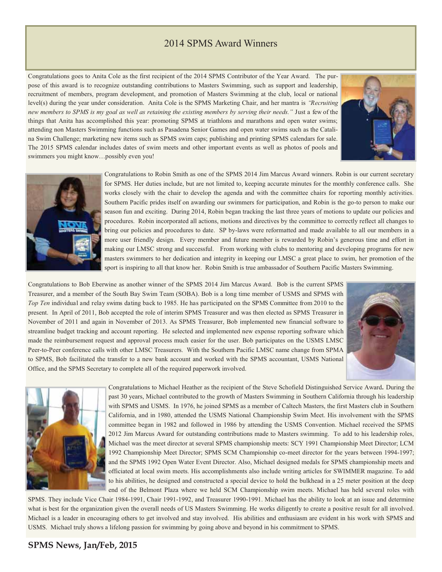# 2014 SPMS Award Winners

Congratulations goes to Anita Cole as the first recipient of the 2014 SPMS Contributor of the Year Award.The purpose of this award is to recognize outstanding contributions to Masters Swimming, such as support and leadership, recruitment of members, program development, and promotion of Masters Swimming at the club, local or national level(s) during the year under consideration. Anita Cole is the SPMS Marketing Chair, and her mantra is *"Recruiting new members to SPMS is my goal as well as retaining the existing members by serving their needs."* Just a few of the things that Anita has accomplished this year: promoting SPMS at triathlons and marathons and open water swims; attending non Masters Swimming functions such as Pasadena Senior Games and open water swims such as the Catalina Swim Challenge; marketing new items such as SPMS swim caps; publishing and printing SPMS calendars for sale. The 2015 SPMS calendar includes dates of swim meets and other important events as well as photos of pools and swimmers you might know…possibly even you!





Congratulations to Robin Smith as one of the SPMS 2014 Jim Marcus Award winners. Robin is our current secretary for SPMS. Her duties include, but are not limited to, keeping accurate minutes for the monthly conference calls. She works closely with the chair to develop the agenda and with the committee chairs for reporting monthly activities. Southern Pacific prides itself on awarding our swimmers for participation, and Robin is the go-to person to make our season fun and exciting. During 2014, Robin began tracking the last three years of motions to update our policies and procedures. Robin incorporated all actions, motions and directives by the committee to correctly reflect all changes to bring our policies and procedures to date. SP by-laws were reformatted and made available to all our members in a more user friendly design. Every member and future member is rewarded by Robin's generous time and effort in making our LMSC strong and successful. From working with clubs to mentoring and developing programs for new masters swimmers to her dedication and integrity in keeping our LMSC a great place to swim, her promotion of the sport is inspiring to all that know her. Robin Smith is true ambassador of Southern Pacific Masters Swimming.

Congratulations to Bob Eberwine as another winner of the SPMS 2014 Jim Marcus Award. Bob is the current SPMS Treasurer, and a member of the South Bay Swim Team (SOBA). Bob is a long time member of USMS and SPMS with *Top Ten* individual and relay swims dating back to 1985. He has participated on the SPMS Committee from 2010 to the present. In April of 2011, Bob accepted the role of interim SPMS Treasurer and was then elected as SPMS Treasurer in November of 2011 and again in November of 2013. As SPMS Treasurer, Bob implemented new financial software to streamline budget tracking and account reporting. He selected and implemented new expense reporting software which made the reimbursement request and approval process much easier for the user. Bob participates on the USMS LMSC Peer-to-Peer conference calls with other LMSC Treasurers. With the Southern Pacific LMSC name change from SPMA to SPMS, Bob facilitated the transfer to a new bank account and worked with the SPMS accountant, USMS National Office, and the SPMS Secretary to complete all of the required paperwork involved.





Congratulations to Michael Heather as the recipient of the Steve Schofield Distinguished Service Award**.** During the past 30 years, Michael contributed to the growth of Masters Swimming in Southern California through his leadership with SPMS and USMS. In 1976, he joined SPMS as a member of Caltech Masters, the first Masters club in Southern California, and in 1980, attended the USMS National Championship Swim Meet. His involvement with the SPMS committee began in 1982 and followed in 1986 by attending the USMS Convention. Michael received the SPMS 2012 Jim Marcus Award for outstanding contributions made to Masters swimming. To add to his leadership roles, Michael was the meet director at several SPMS championship meets: SCY 1991 Championship Meet Director; LCM 1992 Championship Meet Director; SPMS SCM Championship co-meet director for the years between 1994-1997; and the SPMS 1992 Open Water Event Director. Also, Michael designed medals for SPMS championship meets and officiated at local swim meets. His accomplishments also include writing articles for SWIMMER magazine. To add to his abilities, he designed and constructed a special device to hold the bulkhead in a 25 meter position at the deep end of the Belmont Plaza where we held SCM Championship swim meets. Michael has held several roles with

SPMS. They include Vice Chair 1984-1991, Chair 1991-1992, and Treasurer 1990-1991. Michael has the ability to look at an issue and determine what is best for the organization given the overall needs of US Masters Swimming. He works diligently to create a positive result for all involved. Michael is a leader in encouraging others to get involved and stay involved. His abilities and enthusiasm are evident in his work with SPMS and USMS. Michael truly shows a lifelong passion for swimming by going above and beyond in his commitment to SPMS.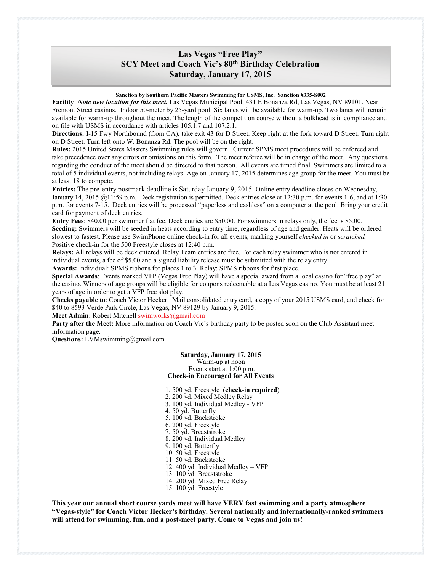## **Las Vegas "Free Play" SCY Meet and Coach Vic's 80th Birthday Celebration Saturday, January 17, 2015**

#### **Sanction by Southern Pacific Masters Swimming for USMS, Inc. Sanction #335-S002**

**Facility**: *Note new location for this meet.* Las Vegas Municipal Pool, 431 E Bonanza Rd, Las Vegas, NV 89101. Near Fremont Street casinos. Indoor 50-meter by 25-yard pool. Six lanes will be available for warm-up. Two lanes will remain available for warm-up throughout the meet. The length of the competition course without a bulkhead is in compliance and on file with USMS in accordance with articles 105.1.7 and 107.2.1.

**Directions:** I-15 Fwy Northbound (from CA), take exit 43 for D Street. Keep right at the fork toward D Street. Turn right on D Street. Turn left onto W. Bonanza Rd. The pool will be on the right.

**Rules:** 2015 United States Masters Swimming rules will govern. Current SPMS meet procedures will be enforced and take precedence over any errors or omissions on this form. The meet referee will be in charge of the meet. Any questions regarding the conduct of the meet should be directed to that person. All events are timed final. Swimmers are limited to a total of 5 individual events, not including relays. Age on January 17, 2015 determines age group for the meet. You must be at least 18 to compete.

**Entries:** The pre-entry postmark deadline is Saturday January 9, 2015. Online entry deadline closes on Wednesday, January 14, 2015 @11:59 p.m. Deck registration is permitted. Deck entries close at 12:30 p.m. for events 1-6, and at 1:30 p.m. for events 7-15. Deck entries will be processed "paperless and cashless" on a computer at the pool. Bring your credit card for payment of deck entries.

**Entry Fees**: \$40.00 per swimmer flat fee. Deck entries are \$50.00. For swimmers in relays only, the fee is \$5.00. **Seeding:** Swimmers will be seeded in heats according to entry time, regardless of age and gender. Heats will be ordered slowest to fastest. Please use SwimPhone online check-in for all events, marking yourself *checked in* or *scratched.* Positive check-in for the 500 Freestyle closes at 12:40 p.m.

**Relays:** All relays will be deck entered. Relay Team entries are free. For each relay swimmer who is not entered in individual events, a fee of \$5.00 and a signed liability release must be submitted with the relay entry.

**Awards:** Individual: SPMS ribbons for places 1 to 3. Relay: SPMS ribbons for first place.

**Special Awards**: Events marked VFP (Vegas Free Play) will have a special award from a local casino for "free play" at the casino. Winners of age groups will be eligible for coupons redeemable at a Las Vegas casino. You must be at least 21 years of age in order to get a VFP free slot play.

**Checks payable to**: Coach Victor Hecker. Mail consolidated entry card, a copy of your 2015 USMS card, and check for \$40 to 8593 Verde Park Circle, Las Vegas, NV 89129 by January 9, 2015.

**Meet Admin:** Robert Mitchell swimworks@gmail.com

**Party after the Meet:** More information on Coach Vic's birthday party to be posted soon on the Club Assistant meet information page.

**Questions:** LVMswimming@gmail.com

#### **Saturday, January 17, 2015**

Warm-up at noon

Events start at 1:00 p.m. **Check-in Encouraged for All Events**

#### 1. 500 yd. Freestyle (**check-in required**)

- 2. 200 yd. Mixed Medley Relay
- 3. 100 yd. Individual Medley VFP
- 4. 50 yd. Butterfly
- 5. 100 yd. Backstroke
- 6. 200 yd. Freestyle
- 7. 50 yd. Breaststroke
- 8. 200 yd. Individual Medley
- 9. 100 yd. Butterfly
- 10. 50 yd. Freestyle
- 11. 50 yd. Backstroke
- 12. 400 yd. Individual Medley VFP
- 13. 100 yd. Breaststroke
- 14. 200 yd. Mixed Free Relay
- 15. 100 yd. Freestyle

**This year our annual short course yards meet will have VERY fast swimming and a party atmosphere "Vegas-style" for Coach Victor Hecker's birthday. Several nationally and internationally-ranked swimmers will attend for swimming, fun, and a post-meet party. Come to Vegas and join us!**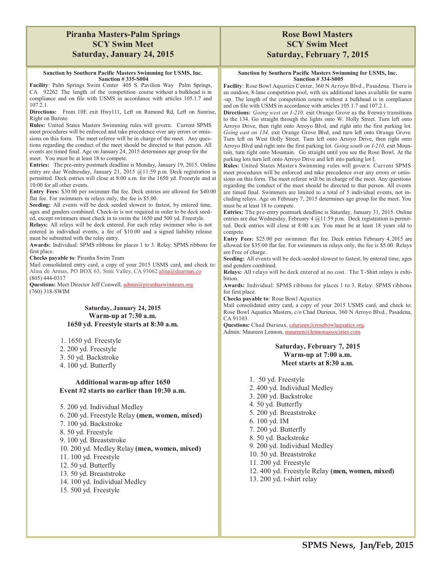## **Piranha Masters-Palm Springs SCY Swim Meet Saturday, January 24, 2015**

#### **Sanction by Southern Pacific Masters Swimming for USMS, Inc. Sanction # 335-S004**

**Facility**: Palm Springs Swim Center 405 S. Pavilion Way Palm Springs, CA 92262 The length of the competition course without a bulkhead is in compliance and on file with USMS in accordance with articles 105.1.7 and 107.2.1.

**Directions:** From 10E exit Hwy111, Left on Ramond Rd, Left on Sunrise, Right on Baristo

**Rules:** United States Masters Swimming rules will govern. Current SPMS meet procedures will be enforced and take precedence over any errors or omissions on this form. The meet referee will be in charge of the meet. Any questions regarding the conduct of the meet should be directed to that person. All events are timed final. Age on January 24, 2015 determines age group for the meet. You must be at least 18 to compete.

**Entries:** The pre-entry postmark deadline is Monday, January 19, 2015. Online entry are due Wednesday, January 21, 2015 @11:59 p.m. Deck registration is permitted. Deck entries will close at 8:00 a.m. for the 1650 yd. Freestyle and at 10:00 for all other events.

**Entry Fees:** \$30.00 per swimmer flat fee. Deck entries are allowed for \$40.00 flat fee. For swimmers in relays only, the fee is \$5.00.

**Seeding:** All events will be deck seeded slowest to fastest, by entered time, ages and genders combined. Check-in is not required in order to be deck seeded, except swimmers must check in to swim the 1650 and 500 yd. Freestyle.

**Relays:** All relays will be deck entered. For each relay swimmer who is not entered in individual events, a fee of \$10.00 and a signed liability release must be submitted with the relay entry.

**Awards:** Individual: SPMS ribbons for places 1 to 3. Relay: SPMS ribbons for first place.

**Checks payable to**: Piranha Swim Team

Mail consolidated entry card, a copy of your 2015 USMS card, and check to: Alina de Armas, PO BOX 63, Simi Valley, CA 93062 alina@dearmas.co (805) 444-0317

**Questions:** Meet Director Jeff Conwell, admin@piranhaswimteam.org (760) 318-SWIM

#### **Saturday, January 24, 2015 Warm-up at 7:30 a.m. 1650 yd. Freestyle starts at 8:30 a.m.**

- 1. 1650 yd. Freestyle
- 2. 200 yd. Freestyle
- 3. 50 yd. Backstroke
- 4. 100 yd. Butterfly

## **Additional warm-up after 1650 Event #2 starts no earlier than 10:30 a.m.**

5. 200 yd. Individual Medley

6. 200 yd. Freestyle Relay **(men, women, mixed)**

- 7. 100 yd. Backstroke
- 8. 50 yd. Freestyle
- 9. 100 yd. Breaststroke
- 10. 200 yd. Medley Relay **(men, women, mixed)**
- 11. 100 yd. Freestyle
- 12. 50 yd. Butterfly
- 13. 50 yd. Breaststroke
- 14. 100 yd. Individual Medley
- 15. 500 yd. Freestyle

## **Rose Bowl Masters SCY Swim Meet Saturday, February 7, 2015**

#### **Sanction by Southern Pacific Masters Swimming for USMS, Inc. Sanction # 334-S005**

**Facility**: Rose Bowl Aquatics Center, 360 N Arroyo Blvd., Pasadena. There is an outdoor, 8-lane competition pool, with six additional lanes available for warm -up. The length of the competition course without a bulkhead is in compliance and on file with USMS in accordance with articles 105.1.7 and 107.2.1.

**Directions:** *Going west on I-210,* exit Orange Grove as the freeway transitions to the 134. Go straight through the lights onto W. Holly Street. Turn left onto Arroyo Drive, then right onto Arroyo Blvd, and right into the first parking lot. *Going east on 134,* exit Orange Grove Blvd, and turn left onto Orange Grove. Turn left on West Holly Street. Turn left onto Arroyo Drive, then right onto Arroyo Blvd and right into the first parking lot. *Going south on I-210,* exit Mountain, turn right onto Mountain. Go straight until you see the Rose Bowl. At the parking lots turn left onto Arroyo Drive and left into parking lot I.

**Rules:** United States Masters Swimming rules will govern. Current SPMS meet procedures will be enforced and take precedence over any errors or omissions on this form. The meet referee will be in charge of the meet. Any questions regarding the conduct of the meet should be directed to that person. All events are timed final. Swimmers are limited to a total of 5 individual events, not including relays. Age on February 7, 2015 determines age group for the meet. You must be at least 18 to compete.

**Entries:** The pre-entry postmark deadline is Saturday, January 31, 2015. Online entries are due Wednesday, February 4 @11:59 p.m. Deck registration is permitted. Deck entries will close at 8:00 a.m. You must be at least 18 years old to compete.

**Entry Fees:** \$25.00 per swimmer flat fee. Deck entries February 4, 2015 are allowed for \$35.00 flat fee. For swimmers in relays only, the fee is \$5.00. Relays are Free of charge.

**Seeding:** All events will be deck-seeded slowest to fastest, by entered time, ages and genders combined.

**Relays:** All relays will be deck entered at no cost. The T-Shirt relays is exhibition.

**Awards:** Individual: SPMS ribbons for places 1 to 3. Relay: SPMS ribbons for first place.

**Checks payable to**: Rose Bowl Aquatics

Mail consolidated entry card, a copy of your 2015 USMS card, and check to: Rose Bowl Aquatics Masters, c/o Chad Durieux, 360 N Arroyo Blvd., Pasadena, CA 91103.

Questions: Chad Durieux, cdurieux@rosebowlaquatics.org. Admin: Maureen Lennon, maureen@lennonassociates.com

## **Saturday, February 7, 2015 Warm-up at 7:00 a.m. Meet starts at 8:30 a.m.**

1. 50 yd. Freestyle 2. 400 yd. Individual Medley 3. 200 yd. Backstroke 4. 50 yd. Butterfly 5. 200 yd. Breaststroke 6. 100 yd. IM 7. 200 yd. Butterfly 8. 50 yd. Backstroke 9. 200 yd. Individual Medley 10. 50 yd. Breaststroke 11. 200 yd. Freestyle 12. 400 yd. Freestyle Relay **(men, women, mixed)** 13. 200 yd. t-shirt relay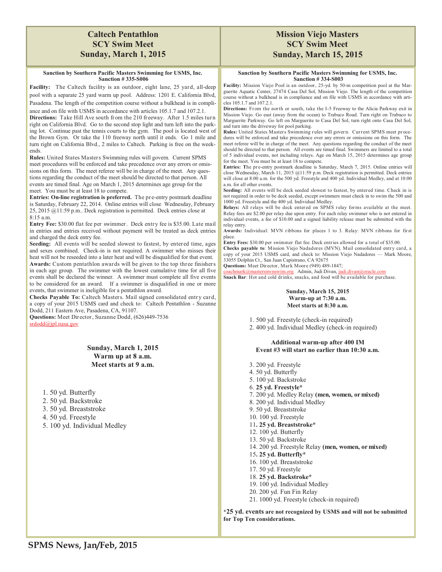## **Caltech Pentathlon SCY Swim Meet Sunday, March 1, 2015**

#### **Sanction by Southern Pacific Masters Swimming for USMS, Inc. Sanction # 335-S006**

**Facility:** The Caltech facility is an outdoor, eight lane, 25 yard, all-deep pool with a separate 25 yard warm up pool. Address: 1201 E. California Blvd, Pasadena. The length of the competition course without a bulkhead is in compli-

ance and on file with USMS in accordance with articles 105.1.7 and 107.2.1. **Directions:** Take Hill Ave south from the 210 freeway. After 1.5 miles turn right on California Blvd. Go to the second stop light and turn left into the parking lot. Continue past the tennis courts to the gym. The pool is located west of the Brown Gym. Or take the 110 freeway north until it ends. Go 1 mile and turn right on California Blvd., 2 miles to Caltech. Parking is free on the weekends.

**Rules:** United States Masters Swimming rules will govern. Current SPMS meet procedures will be enforced and take precedence over any errors or omissions on this form. The meet referee will be in charge of the meet. Any questions regarding the conduct of the meet should be directed to that person. All events are timed final. Age on March 1, 2015 determines age group for the meet. You must be at least 18 to compete.

**Entries: On-line registration is preferred.** The pre-entry postmark deadline is Saturday, February 22, 2014. Online entries will close Wednesday, February 25, 2015 @11:59 p.m.. Deck registration is permitted. Deck entries close at 8:15 a.m.

**Entry Fee:** \$30.00 flat fee per swimmer. Deck entry fee is \$35.00. Late mail in entries and entries received without payment will be treated as deck entries and charged the deck entry fee.

**Seeding:** All events will be seeded slowest to fastest, by entered time, ages and sexes combined. Check-in is not required. A swimmer who misses their heat will not be reseeded into a later heat and will be disqualified for that event. **Awards:** Custom pentathlon awards will be given to the top three finishers in each age group. The swimmer with the lowest cumulative time for all five events shall be declared the winner. A swimmer must complete all five events to be considered for an award. If a swimmer is disqualified in one or more events, that swimmer is ineligible for a pentathlon award.

**Checks Payable To:** Caltech Masters. Mail signed consolidated entry card, a copy of your 2015 USMS card and check to: Caltech Pentathlon - Suzanne Dodd, 211 Eastern Ave, Pasadena, CA, 91107.

**Questions:** Meet Director, Suzanne Dodd, (626)449-7536 srdodd@jpl.nasa.gov

> **Sunday, March 1, 2015 Warm up at 8 a.m. Meet starts at 9 a.m.**

1. 50 yd. Butterfly

- 2. 50 yd. Backstroke
- 3. 50 yd. Breaststroke
- 4. 50 yd. Freestyle

5. 100 yd. Individual Medley

## **Mission Viejo Masters SCY Swim Meet Sunday, March 15, 2015**

#### **Sanction by Southern Pacific Masters Swimming for USMS, Inc. Sanction # 334-S003**

**Facility:** Mission Viejo Pool is an outdoor, 25-yd. by 50-m competition pool at the Marguerite Aquatic Center, 27474 Casa Del Sol, Mission Viejo. The length of the competition course without a bulkhead is in compliance and on file with USMS in accordance with articles 105.1.7 and 107.2.1.

**Directions:** From the north or south, take the I-5 Freeway to the Alicia Parkway exit in Mission Viejo. Go east (away from the ocean) to Trabuco Road. Turn right on Trabuco to Marguerite Parkway. Go left on Marguerite to Casa Del Sol, turn right onto Casa Del Sol, and turn into the driveway for pool parking.

Rules: United States Masters Swimming rules will govern. Current SPMS meet procedures will be enforced and take precedence over any errors or omissions on this form. The meet referee will be in charge of the meet. Any questions regarding the conduct of the meet should be directed to that person. All events are timed final. Swimmers are limited to a total of 5 individual events, not including relays. Age on March 15, 2015 determines age group for the meet. You must be at least 18 to compete.

**Entries: T**he pre-entry postmark deadline is Saturday, March 7, 2015. Online entries will close Wednesday, March 11, 2015 @11:59 p.m. Deck registration is permitted. Deck entries will close at 8:00 a.m. for the 500 yd. Freestyle and 400 yd. Individual Medley, and at 10:00 a.m. for all other events.

**Seeding:** All events will be deck seeded slowest to fastest, by entered time. Check in is not required in order to be deck seeded, except swimmers must check in to swim the 500 and 1000 yd. Freestyle and the 400 yd. Individual Medley.

Relays: All relays will be deck entered on SPMS relay forms available at the meet. Relay fees are \$2.00 per relay due upon entry. For each relay swimmer who is not entered in individual events, a fee of \$10.00 and a signed liability release must be submitted with the relay entry.

**Awards:** Individual: MVN ribbons for places 1 to 3. Relay: MVN ribbons for first place.

**Entry Fees:** \$30.00 per swimmer flat fee. Deck entries allowed for a total of \$35.00.

**Checks payable to**: Mission Viejo Nadadores (MVN). Mail consolidated entry card, a copy of your 2015 USMS card, and check to: Mission Viejo Nadadores — Mark Moore, 33055 Dolphin Ct., San Juan Capistrano, CA 92675

**Questions:** Meet Director, Mark Moore (949) 489-1847;

coachmark@mastersmvnswim.org. Admin, Judi Divan, judi.divan@oracle.com **Snack Bar**: Hot and cold drinks, snacks, and food will be available for purchase.

#### **Sunday, March 15, 2015 Warm-up at 7:30 a.m. Meet starts at 8:30 a.m.**

1. 500 yd. Freestyle (check-in required)

2. 400 yd. Individual Medley (check-in required)

#### **Additional warm-up after 400 IM Event #3 will start no earlier than 10:30 a.m.**

- 3. 200 yd. Freestyle 4. 50 yd. Butterfly 5. 100 yd. Backstroke 6. **25 yd. Freestyle\*** 7. 200 yd. Medley Relay **(men, women, or mixed)**  8. 200 yd. Individual Medley 9. 50 yd. Breaststroke 10. 100 yd. Freestyle 11**. 25 yd. Breaststroke\*** 12. 100 yd. Butterfly 13. 50 yd. Backstroke 14. 200 yd. Freestyle Relay **(men, women, or mixed)**  15**. 25 yd. Butterfly\*** 16. 100 yd. Breaststroke 17. 50 yd. Freestyle 18. **25 yd. Backstroke\*** 19. 100 yd. Individual Medley 20. 200 yd. Fun Fin Relay
- 21. 1000 yd. Freestyle (check-in required)

**\*25 yd. events are not recognized by USMS and will not be submitted for Top Ten considerations.**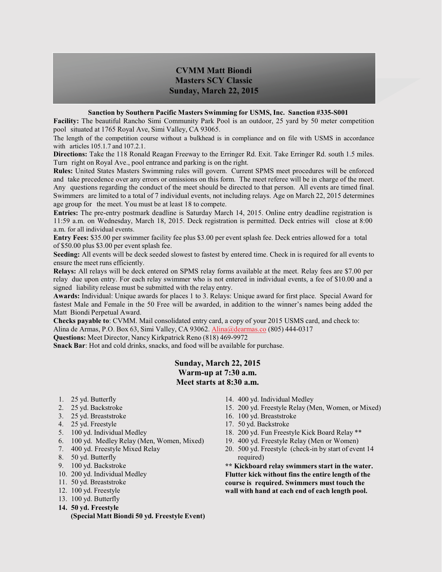## **CVMM Matt Biondi Masters SCY Classic Sunday, March 22, 2015**

#### **Sanction by Southern Pacific Masters Swimming for USMS, Inc. Sanction #335-S001**

**Facility:** The beautiful Rancho Simi Community Park Pool is an outdoor, 25 yard by 50 meter competition pool situated at 1765 Royal Ave, Simi Valley, CA 93065.

The length of the competition course without a bulkhead is in compliance and on file with USMS in accordance with articles 105.1.7 and 107.2.1.

**Directions:** Take the 118 Ronald Reagan Freeway to the Erringer Rd. Exit. Take Erringer Rd. south 1.5 miles. Turn right on Royal Ave., pool entrance and parking is on the right.

**Rules:** United States Masters Swimming rules will govern. Current SPMS meet procedures will be enforced and take precedence over any errors or omissions on this form. The meet referee will be in charge of the meet. Any questions regarding the conduct of the meet should be directed to that person. All events are timed final. Swimmers are limited to a total of 7 individual events, not including relays. Age on March 22, 2015 determines age group for the meet. You must be at least 18 to compete.

**Entries:** The pre-entry postmark deadline is Saturday March 14, 2015. Online entry deadline registration is 11:59 a.m. on Wednesday, March 18, 2015. Deck registration is permitted. Deck entries will close at 8:00 a.m. for all individual events.

**Entry Fees:** \$35.00 per swimmer facility fee plus \$3.00 per event splash fee. Deck entries allowed for a total of \$50.00 plus \$3.00 per event splash fee.

**Seeding:** All events will be deck seeded slowest to fastest by entered time. Check in is required for all events to ensure the meet runs efficiently.

**Relays:** All relays will be deck entered on SPMS relay forms available at the meet. Relay fees are \$7.00 per relay due upon entry. For each relay swimmer who is not entered in individual events, a fee of \$10.00 and a signed liability release must be submitted with the relay entry.

**Awards:** Individual: Unique awards for places 1 to 3. Relays: Unique award for first place. Special Award for fastest Male and Female in the 50 Free will be awarded, in addition to the winner's names being added the Matt Biondi Perpetual Award.

**Checks payable to**: CVMM. Mail consolidated entry card, a copy of your 2015 USMS card, and check to: Alina de Armas, P.O. Box 63, Simi Valley, CA 93062. Alina@dearmas.co (805) 444-0317

**Questions:** Meet Director, Nancy Kirkpatrick Reno (818) 469-9972

**Snack Bar**: Hot and cold drinks, snacks, and food will be available for purchase.

## **Sunday, March 22, 2015 Warm-up at 7:30 a.m. Meet starts at 8:30 a.m.**

- 1. 25 yd. Butterfly
- 2. 25 yd. Backstroke
- 3. 25 yd. Breaststroke
- 4. 25 yd. Freestyle
- 5. 100 yd. Individual Medley
- 6. 100 yd. Medley Relay (Men, Women, Mixed)
- 7. 400 yd. Freestyle Mixed Relay
- 8. 50 yd. Butterfly
- 9. 100 yd. Backstroke
- 10. 200 yd. Individual Medley
- 11. 50 yd. Breaststroke
- 12. 100 yd. Freestyle
- 13. 100 yd. Butterfly
- **14. 50 yd. Freestyle (Special Matt Biondi 50 yd. Freestyle Event)**
- 14. 400 yd. Individual Medley
- 15. 200 yd. Freestyle Relay (Men, Women, or Mixed)
- 16. 100 yd. Breaststroke
- 17. 50 yd. Backstroke
- 18. 200 yd. Fun Freestyle Kick Board Relay \*\*
- 19. 400 yd. Freestyle Relay (Men or Women)
- 20. 500 yd. Freestyle (check-in by start of event 14 required)

**\*\* Kickboard relay swimmers start in the water. Flutter kick without fins the entire length of the course is required. Swimmers must touch the wall with hand at each end of each length pool.**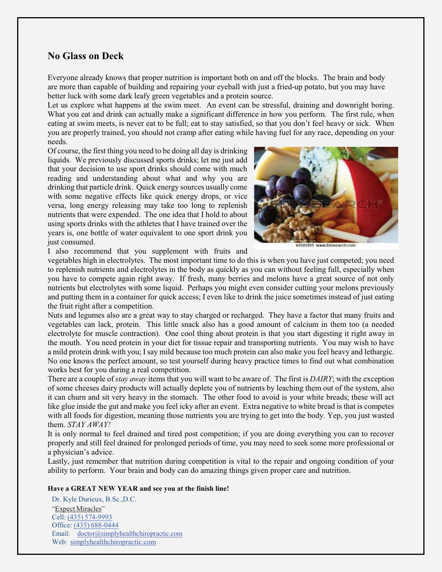## **No Glass on Deck**

Everyone already knows that proper nutrition is important both on and off the blocks. The brain and body are more than capable of building and repairing your eyeball with just a fried-up potato, but you may have better luck with some dark leafy green vegetables and a protein source.

Let us explore what happens at the swim meet. An event can be stressful, draining and downright boring. What you eat and drink can actually make a significant difference in how you perform. The first rule, when eating at swim meets, is never eat to be full; eat to stay satisfied, so that you don't feel heavy or sick. When you are properly trained, you should not cramp after eating while having fuel for any race, depending on your needs.

Of course, the first thing you need to be doing all day is drinking liquids. We previously discussed sports drinks; let me just add that your decision to use sport drinks should come with much reading and understanding about what and why you are drinking that particle drink. Quick energy sources usually come with some negative effects like quick energy drops, or vice versa, long energy releasing may take too long to replenish nutrients that were expended. The one idea that I hold to about using sports drinks with the athletes that I have trained over the years is, one bottle of water equivalent to one sport drink you just consumed.



0585991 www.fotosearch.com

I also recommend that you supplement with fruits and

vegetables high in electrolytes. The most important time to do this is when you have just competed; you need to replenish nutrients and electrolytes in the body as quickly as you can without feeling full, especially when you have to compete again right away. If fresh, many berries and melons have a great source of not only nutrients but electrolytes with some liquid. Perhaps you might even consider cutting your melons previously and putting them in a container for quick access; I even like to drink the juice sometimes instead of just eating the fruit right after a competition.

Nuts and legumes also are a great way to stay charged or recharged. They have a factor that many fruits and vegetables can lack, protein. This little snack also has a good amount of calcium in them too (a needed electrolyte for muscle contraction). One cool thing about protein is that you start digesting it right away in the mouth. You need protein in your diet for tissue repair and transporting nutrients. You may wish to have a mild protein drink with you; I say mild because too much protein can also make you feel heavy and lethargic. No one knows the perfect amount, so test yourself during heavy practice times to find out what combination works best for you during a real competition.

There are a couple of *stay away* items that you will want to be aware of. The first is *DAIRY*; with the exception of some cheeses dairy products will actually deplete you of nutrients by leaching them out of the system, also it can churn and sit very heavy in the stomach. The other food to avoid is your white breads; these will act like glue inside the gut and make you feel icky after an event. Extra negative to white bread is that is competes with all foods for digestion, meaning those nutrients you are trying to get into the body. Yep, you just wasted them. *STAY AWAY!*

It is only normal to feel drained and tired post competition; if you are doing everything you can to recover properly and still feel drained for prolonged periods of time, you may need to seek some more professional or a physician's advice.

Lastly, just remember that nutrition during competition is vital to the repair and ongoing condition of your ability to perform. Your brain and body can do amazing things given proper care and nutrition.

#### **Have a GREAT NEW YEAR and see you at the finish line!**

Dr. Kyle Durieux, B.Sc.,D.C. "Expect Miracles" Cell: (435) 574-9993 Office: (435) 688-0444 Email: doctor@simplyhealthchiropractic.com Web: simplyhealthchiropractic.com